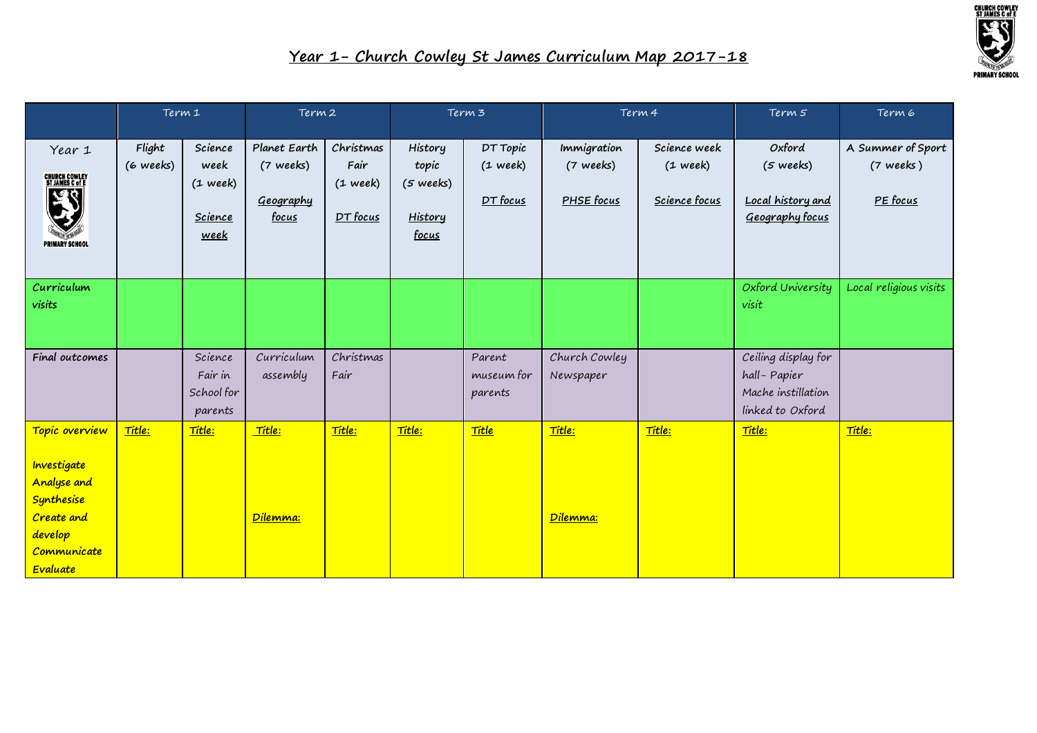

|                                                                                                                | Term 1              |                                                                        | Term 2                                                 |                                             | Term 3                                                          |                                            | Term 4                                 |                                             | Term 5                                                                       | Term 6                                       |
|----------------------------------------------------------------------------------------------------------------|---------------------|------------------------------------------------------------------------|--------------------------------------------------------|---------------------------------------------|-----------------------------------------------------------------|--------------------------------------------|----------------------------------------|---------------------------------------------|------------------------------------------------------------------------------|----------------------------------------------|
| Year 1<br><b>CHURCH COWLEY<br/>ST JAMES C of E</b><br>$\tilde{d}$<br><b>PRIMARY SCHOOL</b>                     | Flight<br>(6 weeks) | Science<br>week<br>$(1 \text{ week})$<br><b>Science</b><br><u>week</u> | Planet Earth<br>(7 weeks)<br>Geography<br><u>focus</u> | Christmas<br>Fair<br>$(1$ week)<br>DT focus | History<br>topic<br>(5 weeks)<br><b>History</b><br><u>focus</u> | DT Topic<br>$(1 \text{ week})$<br>DT focus | Immigration<br>(7 weeks)<br>PHSE focus | Science week<br>$(1$ week)<br>Science focus | Oxford<br>$(5 \text{ weeks})$<br>Local history and<br>Geography focus        | A Summer of Sport<br>$(7$ weeks)<br>PE focus |
| Curriculum<br>visits                                                                                           |                     |                                                                        |                                                        |                                             |                                                                 |                                            |                                        |                                             | Oxford University<br>visit                                                   | Local religious visits                       |
| Final outcomes                                                                                                 |                     | Science<br>Fair in<br>School for<br>parents                            | Curriculum<br>assembly                                 | Christmas<br>Fair                           |                                                                 | Parent<br>museum for<br>parents            | Church Cowley<br>Newspaper             |                                             | Ceiling display for<br>hall-Papier<br>Mache instillation<br>linked to Oxford |                                              |
| Topic overview<br>Investigate<br>Analyse and<br>Synthesise<br>Create and<br>develop<br>Communicate<br>Evaluate | Title:              | Title:                                                                 | Title:<br>Dilemma:                                     | Title:                                      | Title:                                                          | <u>Title</u>                               | Title:<br>Dilemma:                     | Title:                                      | Title:                                                                       | Title:                                       |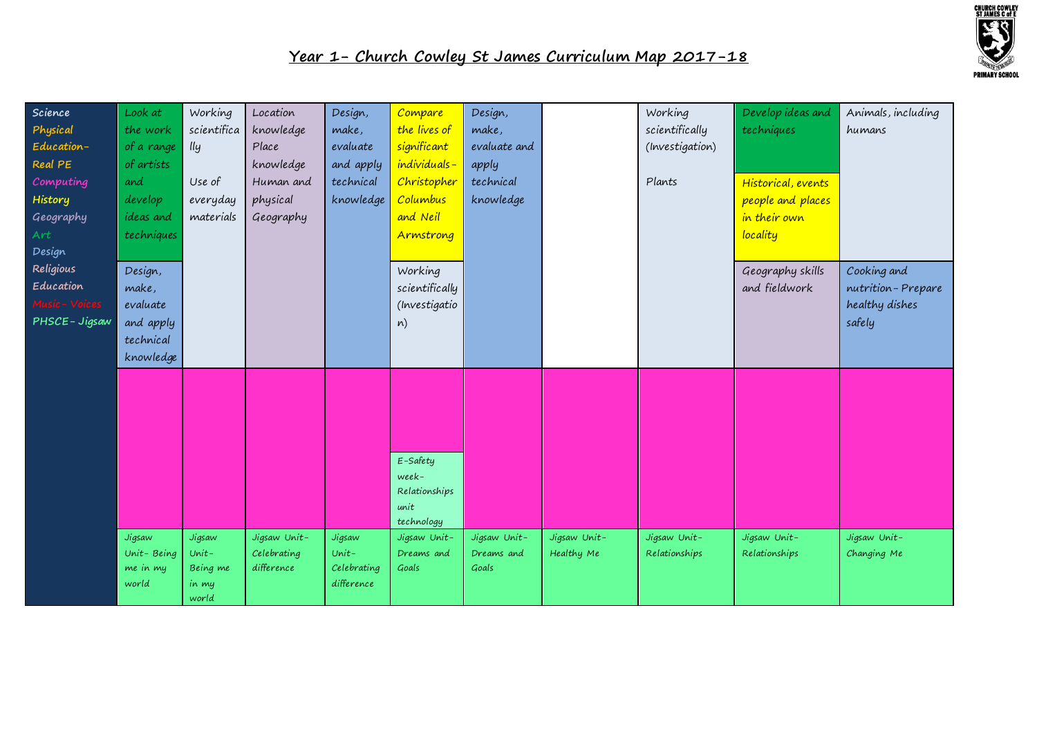

| Science        | Look at           | Working        | Location     | Design,                   | Compare        | Design,      |              | Working         | Develop ideas and  | Animals, including |
|----------------|-------------------|----------------|--------------|---------------------------|----------------|--------------|--------------|-----------------|--------------------|--------------------|
| Physical       | the work          | scientifica    | knowledge    | make,                     | the lives of   | make,        |              | scientifically  | techniques         | humans             |
| Education-     | of a range        | lly            | Place        | evaluate                  | significant    | evaluate and |              | (Investigation) |                    |                    |
| Real PE        | of artists        |                | knowledge    | and apply                 | individuals-   | apply        |              |                 |                    |                    |
| Computing      | and               | Use of         | Human and    | technical                 | Christopher    | technical    |              | Plants          | Historical, events |                    |
| History        | develop           | everyday       | physical     | knowledge                 | Columbus       | knowledge    |              |                 | people and places  |                    |
| Geography      | ideas and         | materials      | Geography    |                           | and Neil       |              |              |                 | in their own       |                    |
| Art            | techniques        |                |              |                           | Armstrong      |              |              |                 | locality           |                    |
| Design         |                   |                |              |                           |                |              |              |                 |                    |                    |
| Religious      | Design,           |                |              |                           | Working        |              |              |                 | Geography skills   | Cooking and        |
| Education      | make,             |                |              |                           | scientifically |              |              |                 | and fieldwork      | nutrition-Prepare  |
| Music - Voices | evaluate          |                |              |                           | (Investigatio  |              |              |                 |                    | healthy dishes     |
| PHSCE-Jigsaw   | and apply         |                |              |                           | n)             |              |              |                 |                    | safely             |
|                | technical         |                |              |                           |                |              |              |                 |                    |                    |
|                | knowledge         |                |              |                           |                |              |              |                 |                    |                    |
|                |                   |                |              |                           |                |              |              |                 |                    |                    |
|                |                   |                |              |                           |                |              |              |                 |                    |                    |
|                |                   |                |              |                           |                |              |              |                 |                    |                    |
|                |                   |                |              |                           |                |              |              |                 |                    |                    |
|                |                   |                |              |                           |                |              |              |                 |                    |                    |
|                |                   |                |              |                           | $E$ -Safety    |              |              |                 |                    |                    |
|                |                   |                |              |                           | week-          |              |              |                 |                    |                    |
|                |                   |                |              |                           | Relationships  |              |              |                 |                    |                    |
|                |                   |                |              |                           | unit           |              |              |                 |                    |                    |
|                |                   |                |              |                           | technology     |              |              |                 |                    |                    |
|                | Jigsaw            | Jigsaw         | Jigsaw Unit- | Jigsaw                    | Jigsaw Unit-   | Jigsaw Unit- | Jigsaw Unit- | Jigsaw Unit-    | Jigsaw Unit-       | Jigsaw Unit-       |
|                | Unit-Being        | $Unit -$       | Celebrating  | $Unit -$                  | Dreams and     | Dreams and   | Healthy Me   | Relationships   | Relationships      | Changing Me        |
|                | me in my<br>world | Being me       | difference   | Celebrating<br>difference | Goals          | Goals        |              |                 |                    |                    |
|                |                   | in my<br>world |              |                           |                |              |              |                 |                    |                    |
|                |                   |                |              |                           |                |              |              |                 |                    |                    |